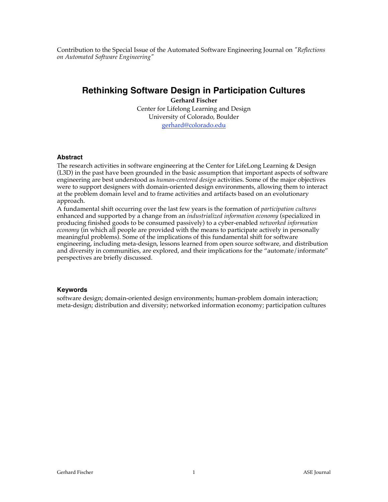Contribution to the Special Issue of the Automated Software Engineering Journal on *"Reflections on Automated Software Engineering"*

# **Rethinking Software Design in Participation Cultures**

**Gerhard Fischer** Center for Lifelong Learning and Design University of Colorado, Boulder gerhard@colorado.edu

### **Abstract**

The research activities in software engineering at the Center for LifeLong Learning & Design (L3D) in the past have been grounded in the basic assumption that important aspects of software engineering are best understood as *human-centered design* activities. Some of the major objectives were to support designers with domain-oriented design environments, allowing them to interact at the problem domain level and to frame activities and artifacts based on an evolutionary approach.

A fundamental shift occurring over the last few years is the formation of *participation cultures* enhanced and supported by a change from an *industrialized information economy* (specialized in producing finished goods to be consumed passively) to a cyber-enabled *networked information economy* (in which all people are provided with the means to participate actively in personally meaningful problems). Some of the implications of this fundamental shift for software engineering, including meta-design, lessons learned from open source software, and distribution and diversity in communities, are explored, and their implications for the "automate/informate" perspectives are briefly discussed.

### **Keywords**

software design; domain-oriented design environments; human-problem domain interaction; meta-design; distribution and diversity; networked information economy; participation cultures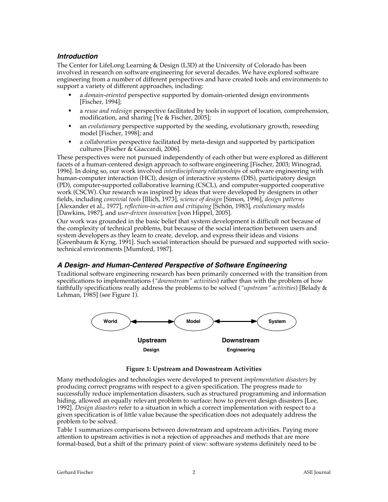# **Introduction**

The Center for LifeLong Learning & Design (L3D) at the University of Colorado has been involved in research on software engineering for several decades. We have explored software engineering from a number of different perspectives and have created tools and environments to support a variety of different approaches, including:

- a *domain-oriented* perspective supported by domain-oriented design environments [Fischer, 1994];
- a *reuse and redesign* perspective facilitated by tools in support of location, comprehension, modification, and sharing [Ye & Fischer, 2005];
- an *evolutionary* perspective supported by the seeding, evolutionary growth, reseeding model [Fischer, 1998]; and
- a *collaboration* perspective facilitated by meta-design and supported by participation cultures [Fischer & Giaccardi, 2006].

These perspectives were not pursued independently of each other but were explored as different facets of a human-centered design approach to software engineering [Fischer, 2003; Winograd, 1996]. In doing so, our work involved *interdisciplinary relationships* of software engineering with human-computer interaction (HCI), design of interactive systems (DIS), participatory design (PD), computer-supported collaborative learning (CSCL), and computer-supported cooperative work (CSCW). Our research was inspired by ideas that were developed by designers in other fields, including *convivial tools* [Illich, 1973], *science of design* [Simon, 1996], *design patterns* [Alexander et al., 1977], *reflection-in-action and critiquing* [Schön, 1983], *evolutionary models* [Dawkins, 1987], and *user-driven innovation* [von Hippel, 2005].

Our work was grounded in the basic belief that system development is difficult not because of the complexity of technical problems, but because of the social interaction between users and system developers as they learn to create, develop, and express their ideas and visions [Greenbaum & Kyng, 1991]. Such social interaction should be pursued and supported with sociotechnical environments [Mumford, 1987].

# **A Design- and Human-Centered Perspective of Software Engineering**

Traditional software engineering research has been primarily concerned with the transition from specifications to implementations (*"downstream" activities*) rather than with the problem of how faithfully specifications really address the problems to be solved (*"upstream" activities*) [Belady & Lehman, 1985] (see Figure 1).



**Figure 1: Upstream and Downstream Activities**

Many methodologies and technologies were developed to prevent *implementation disasters* by producing correct programs with respect to a given specification. The progress made to successfully reduce implementation disasters, such as structured programming and information hiding, allowed an equally relevant problem to surface: how to prevent design disasters [Lee, 1992]. *Design disasters* refer to a situation in which a correct implementation with respect to a given specification is of little value because the specification does not adequately address the problem to be solved.

Table 1 summarizes comparisons between downstream and upstream activities. Paying more attention to upstream activities is not a rejection of approaches and methods that are more formal-based, but a shift of the primary point of view: software systems definitely need to be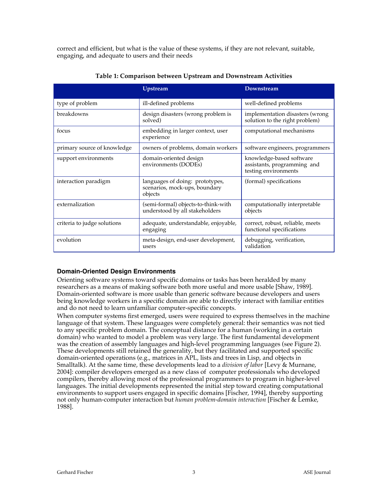correct and efficient, but what is the value of these systems, if they are not relevant, suitable, engaging, and adequate to users and their needs

|                             | <b>Upstream</b>                                                             | Downstream                                                                      |
|-----------------------------|-----------------------------------------------------------------------------|---------------------------------------------------------------------------------|
| type of problem             | ill-defined problems                                                        | well-defined problems                                                           |
| breakdowns                  | design disasters (wrong problem is<br>solved)                               | implementation disasters (wrong<br>solution to the right problem)               |
| focus                       | embedding in larger context, user<br>experience                             | computational mechanisms                                                        |
| primary source of knowledge | owners of problems, domain workers                                          | software engineers, programmers                                                 |
| support environments        | domain-oriented design<br>environments (DODEs)                              | knowledge-based software<br>assistants, programming and<br>testing environments |
| interaction paradigm        | languages of doing: prototypes,<br>scenarios, mock-ups, boundary<br>objects | (formal) specifications                                                         |
| externalization             | (semi-formal) objects-to-think-with<br>understood by all stakeholders       | computationally interpretable<br>objects                                        |
| criteria to judge solutions | adequate, understandable, enjoyable,<br>engaging                            | correct, robust, reliable, meets<br>functional specifications                   |
| evolution                   | meta-design, end-user development,<br>users                                 | debugging, verification,<br>validation                                          |

### **Table 1: Comparison between Upstream and Downstream Activities**

# **Domain-Oriented Design Environments**

Orienting software systems toward specific domains or tasks has been heralded by many researchers as a means of making software both more useful and more usable [Shaw, 1989]. Domain-oriented software is more usable than generic software because developers and users being knowledge workers in a specific domain are able to directly interact with familiar entities and do not need to learn unfamiliar computer-specific concepts.

When computer systems first emerged, users were required to express themselves in the machine language of that system. These languages were completely general: their semantics was not tied to any specific problem domain. The conceptual distance for a human (working in a certain domain) who wanted to model a problem was very large. The first fundamental development was the creation of assembly languages and high-level programming languages (see Figure 2). These developments still retained the generality, but they facilitated and supported specific domain-oriented operations (e.g., matrices in APL, lists and trees in Lisp, and objects in Smalltalk). At the same time, these developments lead to a *division of labor* [Levy & Murnane, 2004]: compiler developers emerged as a new class of computer professionals who developed compilers, thereby allowing most of the professional programmers to program in higher-level languages. The initial developments represented the initial step toward creating computational environments to support users engaged in specific domains [Fischer, 1994], thereby supporting not only human-computer interaction but *human problem-domain interaction* [Fischer & Lemke, 1988].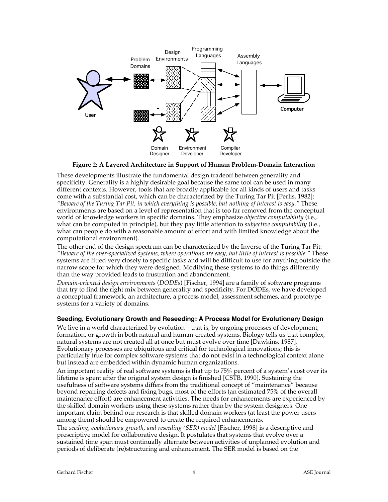

**Figure 2: A Layered Architecture in Support of Human Problem-Domain Interaction**

These developments illustrate the fundamental design tradeoff between generality and specificity. Generality is a highly desirable goal because the same tool can be used in many different contexts. However, tools that are broadly applicable for all kinds of users and tasks come with a substantial cost, which can be characterized by the Turing Tar Pit [Perlis, 1982]: *"Beware of the Turing Tar Pit, in which everything is possible, but nothing of interest is easy."* These environments are based on a level of representation that is too far removed from the conceptual world of knowledge workers in specific domains. They emphasize *objective computability* (i.e., what can be computed in principle), but they pay little attention to *subjective computability* (i.e., what can people do with a reasonable amount of effort and with limited knowledge about the computational environment).

The other end of the design spectrum can be characterized by the Inverse of the Turing Tar Pit: *"Beware of the over-specialized systems, where operations are easy, but little of interest is possible."* These systems are fitted very closely to specific tasks and will be difficult to use for anything outside the narrow scope for which they were designed. Modifying these systems to do things differently than the way provided leads to frustration and abandonment.

*Domain-oriented design environments* (*DODEs*) [Fischer, 1994] are a family of software programs that try to find the right mix between generality and specificity. For DODEs, we have developed a conceptual framework, an architecture, a process model, assessment schemes, and prototype systems for a variety of domains.

### **Seeding, Evolutionary Growth and Reseeding: A Process Model for Evolutionary Design**

We live in a world characterized by evolution – that is, by ongoing processes of development, formation, or growth in both natural and human-created systems. Biology tells us that complex, natural systems are not created all at once but must evolve over time [Dawkins, 1987]. Evolutionary processes are ubiquitous and critical for technological innovations; this is particularly true for complex software systems that do not exist in a technological context alone but instead are embedded within dynamic human organizations.

An important reality of real software systems is that up to 75% percent of a system's cost over its lifetime is spent after the original system design is finished [CSTB, 1990]. Sustaining the usefulness of software systems differs from the traditional concept of "maintenance" because beyond repairing defects and fixing bugs, most of the efforts (an estimated 75% of the overall maintenance effort) are enhancement activities. The needs for enhancements are experienced by the skilled domain workers using these systems rather than by the system designers. One important claim behind our research is that skilled domain workers (at least the power users among them) should be empowered to create the required enhancements.

The *seeding, evolutionary growth, and reseeding (SER) model* [Fischer, 1998] is a descriptive and prescriptive model for collaborative design. It postulates that systems that evolve over a sustained time span must continually alternate between activities of unplanned evolution and periods of deliberate (re)structuring and enhancement. The SER model is based on the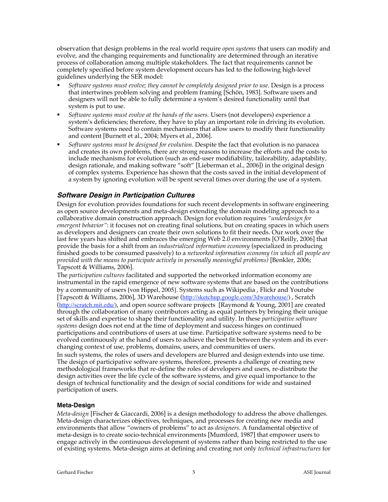observation that design problems in the real world require *open systems* that users can modify and evolve, and the changing requirements and functionality are determined through an iterative process of collaboration among multiple stakeholders. The fact that requirements cannot be completely specified before system development occurs has led to the following high-level guidelines underlying the SER model:

- *Software systems must evolve; they cannot be completely designed prior to use*. Design is a process that intertwines problem solving and problem framing [Schön, 1983]. Software users and designers will not be able to fully determine a system's desired functionality until that system is put to use.
- *Software systems must evolve at the hands of the users.* Users (not developers) experience a system's deficiencies; therefore, they have to play an important role in driving its evolution. Software systems need to contain mechanisms that allow users to modify their functionality and content [Burnett et al., 2004; Myers et al., 2006].
- *Software systems must be designed for evolution.* Despite the fact that evolution is no panacea and creates its own problems, there are strong reasons to increase the efforts and the costs to include mechanisms for evolution (such as end-user modifiability, tailorability, adaptability, design rationale, and making software "soft" [Lieberman et al., 2006]) in the original design of complex systems. Experience has shown that the costs saved in the initial development of a system by ignoring evolution will be spent several times over during the use of a system.

# **Software Design in Participation Cultures**

Design for evolution provides foundations for such recent developments in software engineering as open source developments and meta-design extending the domain modeling approach to a collaborative domain construction approach. Design for evolution requires *"underdesign for emergent behavior"*: it focuses not on creating final solutions, but on creating spaces in which users as developers and designers can create their own solutions to fit their needs. Our work over the last few years has shifted and embraces the emerging Web 2.0 environments [O'Reilly, 2006] that provide the basis for a shift from an *industrialized information economy* (specialized in producing finished goods to be consumed passively) to a *networked information economy (in which all people are provided with the means to participate actively in personally meaningful problems)* [Benkler, 2006; Tapscott & Williams, 2006].

The *participation cultures* facilitated and supported the networked information economy are instrumental in the rapid emergence of new software systems that are based on the contributions by a community of users [von Hippel, 2005]. Systems such as Wikipedia , Flickr and Youtube [Tapscott & Williams, 2006], 3D Warehouse (http://sketchup.google.com/3dwarehouse/) , Scratch (http://scratch.mit.edu/), and open source software projects [Raymond & Young, 2001] are created through the collaboration of many contributors acting as equal partners by bringing their unique set of skills and expertise to shape their functionality and utility. In these *participative software systems* design does not end at the time of deployment and success hinges on continued participations and contributions of users at use time. Participative software systems need to be evolved continuously at the hand of users to achieve the best fit between the system and its everchanging context of use, problems, domains, users, and communities of users.

In such systems, the roles of users and developers are blurred and design extends into use time. The design of participative software systems, therefore, presents a challenge of creating new methodological frameworks that re-define the roles of developers and users, re-distribute the design activities over the life cycle of the software systems, and give equal importance to the design of technical functionality and the design of social conditions for wide and sustained participation of users.

### **Meta-Design**

*Meta-design* [Fischer & Giaccardi, 2006] is a design methodology to address the above challenges. Meta-design characterizes objectives, techniques, and processes for creating new media and environments that allow "owners of problems" to act as *designers*. A fundamental objective of meta-design is to create socio-technical environments [Mumford, 1987] that empower users to engage actively in the continuous development of systems rather than being restricted to the use of existing systems. Meta-design aims at defining and creating not only *technical infrastructures* for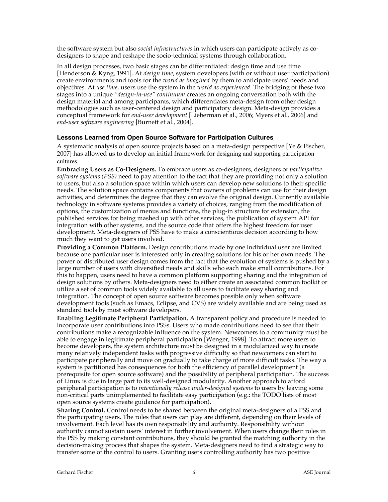the software system but also *social infrastructures* in which users can participate actively as codesigners to shape and reshape the socio-technical systems through collaboration.

In all design processes, two basic stages can be differentiated: design time and use time [Henderson & Kyng, 1991]. At *design time*, system developers (with or without user participation) create environments and tools for the *world as imagined* by them to anticipate users' needs and objectives. At *use time*, users use the system in the *world as experienced*. The bridging of these two stages into a unique *"design-in-use" continuum* creates an ongoing conversation both with the design material and among participants, which differentiates meta-design from other design methodologies such as user-centered design and participatory design. Meta-design provides a conceptual framework for *end-user development* [Lieberman et al., 2006; Myers et al., 2006] and *end-user software engineering* [Burnett et al., 2004].

### **Lessons Learned from Open Source Software for Participation Cultures**

A systematic analysis of open source projects based on a meta-design perspective [Ye & Fischer, 2007] has allowed us to develop an initial framework for designing and supporting participation cultures.

**Embracing Users as Co-Designers.** To embrace users as co-designers, designers of *participative software systems (PSS)* need to pay attention to the fact that they are providing not only a solution to users, but also a solution space within which users can develop new solutions to their specific needs. The solution space contains components that owners of problems can use for their design activities, and determines the degree that they can evolve the original design. Currently available technology in software systems provides a variety of choices, ranging from the modification of options, the customization of menus and functions, the plug-in structure for extension, the published services for being mashed up with other services, the publication of system API for integration with other systems, and the source code that offers the highest freedom for user development. Meta-designers of PSS have to make a conscientious decision according to how much they want to get users involved.

**Providing a Common Platform.** Design contributions made by one individual user are limited because one particular user is interested only in creating solutions for his or her own needs. The power of distributed user design comes from the fact that the evolution of systems is pushed by a large number of users with diversified needs and skills who each make small contributions. For this to happen, users need to have a common platform supporting sharing and the integration of design solutions by others. Meta-designers need to either create an associated common toolkit or utilize a set of common tools widely available to all users to facilitate easy sharing and integration. The concept of open source software becomes possible only when software development tools (such as Emacs, Eclipse, and CVS) are widely available and are being used as standard tools by most software developers.

**Enabling Legitimate Peripheral Participation.** A transparent policy and procedure is needed to incorporate user contributions into PSSs. Users who made contributions need to see that their contributions make a recognizable influence on the system. Newcomers to a community must be able to engage in legitimate peripheral participation [Wenger, 1998]. To attract more users to become developers, the system architecture must be designed in a modularized way to create many relatively independent tasks with progressive difficulty so that newcomers can start to participate peripherally and move on gradually to take charge of more difficult tasks. The way a system is partitioned has consequences for both the efficiency of parallel development (a prerequisite for open source software) and the possibility of peripheral participation. The success of Linux is due in large part to its well-designed modularity. Another approach to afford peripheral participation is to *intentionally release under-designed systems* to users by leaving some non-critical parts unimplemented to facilitate easy participation (e.g.: the TODO lists of most open source systems create guidance for participation).

**Sharing Control.** Control needs to be shared between the original meta-designers of a PSS and the participating users. The roles that users can play are different, depending on their levels of involvement. Each level has its own responsibility and authority. Responsibility without authority cannot sustain users' interest in further involvement. When users change their roles in the PSS by making constant contributions, they should be granted the matching authority in the decision-making process that shapes the system. Meta-designers need to find a strategic way to transfer some of the control to users. Granting users controlling authority has two positive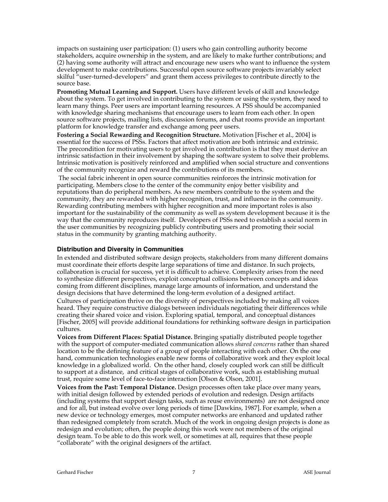impacts on sustaining user participation: (1) users who gain controlling authority become stakeholders, acquire ownership in the system, and are likely to make further contributions; and (2) having some authority will attract and encourage new users who want to influence the system development to make contributions. Successful open source software projects invariably select skilful "user-turned-developers" and grant them access privileges to contribute directly to the source base.

**Promoting Mutual Learning and Support.** Users have different levels of skill and knowledge about the system. To get involved in contributing to the system or using the system, they need to learn many things. Peer users are important learning resources. A PSS should be accompanied with knowledge sharing mechanisms that encourage users to learn from each other. In open source software projects, mailing lists, discussion forums, and chat rooms provide an important platform for knowledge transfer and exchange among peer users.

**Fostering a Social Rewarding and Recognition Structure.** Motivation [Fischer et al., 2004] is essential for the success of PSSs. Factors that affect motivation are both intrinsic and extrinsic. The precondition for motivating users to get involved in contribution is that they must derive an intrinsic satisfaction in their involvement by shaping the software system to solve their problems. Intrinsic motivation is positively reinforced and amplified when social structure and conventions of the community recognize and reward the contributions of its members.

The social fabric inherent in open source communities reinforces the intrinsic motivation for participating. Members close to the center of the community enjoy better visibility and reputations than do peripheral members. As new members contribute to the system and the community, they are rewarded with higher recognition, trust, and influence in the community. Rewarding contributing members with higher recognition and more important roles is also important for the sustainability of the community as well as system development because it is the way that the community reproduces itself. Developers of PSSs need to establish a social norm in the user communities by recognizing publicly contributing users and promoting their social status in the community by granting matching authority.

#### **Distribution and Diversity in Communities**

In extended and distributed software design projects, stakeholders from many different domains must coordinate their efforts despite large separations of time and distance. In such projects, collaboration is crucial for success, yet it is difficult to achieve. Complexity arises from the need to synthesize different perspectives, exploit conceptual collisions between concepts and ideas coming from different disciplines, manage large amounts of information, and understand the design decisions that have determined the long-term evolution of a designed artifact.

Cultures of participation thrive on the diversity of perspectives included by making all voices heard. They require constructive dialogs between individuals negotiating their differences while creating their shared voice and vision. Exploring spatial, temporal, and conceptual distances [Fischer, 2005] will provide additional foundations for rethinking software design in participation cultures.

**Voices from Different Places: Spatial Distance.** Bringing spatially distributed people together with the support of computer-mediated communication allows *shared concerns* rather than shared location to be the defining feature of a group of people interacting with each other. On the one hand, communication technologies enable new forms of collaborative work and they exploit local knowledge in a globalized world. On the other hand, closely coupled work can still be difficult to support at a distance, and critical stages of collaborative work, such as establishing mutual trust, require some level of face-to-face interaction [Olson & Olson, 2001].

**Voices from the Past: Temporal Distance.** Design processes often take place over many years, with initial design followed by extended periods of evolution and redesign. Design artifacts (including systems that support design tasks, such as reuse environments) are not designed once and for all, but instead evolve over long periods of time [Dawkins, 1987]. For example, when a new device or technology emerges, most computer networks are enhanced and updated rather than redesigned completely from scratch. Much of the work in ongoing design projects is done as redesign and evolution; often, the people doing this work were not members of the original design team. To be able to do this work well, or sometimes at all, requires that these people "collaborate" with the original designers of the artifact.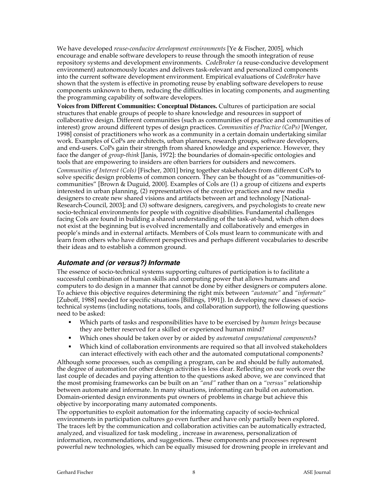We have developed *reuse-conducive development environments* [Ye & Fischer, 2005], which encourage and enable software developers to reuse through the smooth integration of reuse repository systems and development environments. *CodeBroker (*a reuse-conducive development environment) autonomously locates and delivers task-relevant and personalized components into the current software development environment. Empirical evaluations of *CodeBroker* have shown that the system is effective in promoting reuse by enabling software developers to reuse components unknown to them, reducing the difficulties in locating components, and augmenting the programming capability of software developers.

**Voices from Different Communities: Conceptual Distances.** Cultures of participation are social structures that enable groups of people to share knowledge and resources in support of collaborative design. Different communities (such as communities of practice and communities of interest) grow around different types of design practices. *Communities of Practice (CoPs)* [Wenger, 1998] consist of practitioners who work as a community in a certain domain undertaking similar work. Examples of CoPs are architects, urban planners, research groups, software developers, and end-users. CoPs gain their strength from shared knowledge and experience. However, they face the danger of *group-think* [Janis, 1972]: the boundaries of domain-specific ontologies and tools that are empowering to insiders are often barriers for outsiders and newcomers. *Communities of Interest (CoIs)* [Fischer, 2001] bring together stakeholders from different CoPs to solve specific design problems of common concern. They can be thought of as "communities-ofcommunities" [Brown & Duguid, 2000]. Examples of CoIs are (1) a group of citizens and experts interested in urban planning, (2) representatives of the creative practices and new media designers to create new shared visions and artifacts between art and technology [National-Research-Council, 2003]; and (3) software designers, caregivers, and psychologists to create new socio-technical environments for people with cognitive disabilities. Fundamental challenges facing CoIs are found in building a shared understanding of the task-at-hand, which often does not exist at the beginning but is evolved incrementally and collaboratively and emerges in people's minds and in external artifacts. Members of CoIs must learn to communicate with and learn from others who have different perspectives and perhaps different vocabularies to describe their ideas and to establish a common ground.

# **Automate and (or versus?) Informate**

The essence of socio-technical systems supporting cultures of participation is to facilitate a successful combination of human skills and computing power that allows humans and computers to do design in a manner that cannot be done by either designers or computers alone. To achieve this objective requires determining the right mix between *"automate"* and *"informate"* [Zuboff, 1988] needed for specific situations [Billings, 1991]). In developing new classes of sociotechnical systems (including notations, tools, and collaboration support), the following questions need to be asked:

- Which parts of tasks and responsibilities have to be exercised by *human beings* because they are better reserved for a skilled or experienced human mind?
- Which ones should be taken over by or aided by *automated computational components*?
- Which kind of collaboration environments are required so that all involved stakeholders can interact effectively with each other and the automated computational components?

Although some processes, such as compiling a program, can be and should be fully automated, the degree of automation for other design activities is less clear. Reflecting on our work over the last couple of decades and paying attention to the questions asked above, we are convinced that the most promising frameworks can be built on an *"and"* rather than on a *"versus"* relationship between automate and informate. In many situations, informating can build on automation. Domain-oriented design environments put owners of problems in charge but achieve this objective by incorporating many automated components.

The opportunities to exploit automation for the informating capacity of socio-technical environments in participation cultures go even further and have only partially been explored. The traces left by the communication and collaboration activities can be automatically extracted, analyzed, and visualized for task modeling , increase in awareness, personalization of information, recommendations, and suggestions. These components and processes represent powerful new technologies, which can be equally misused for drowning people in irrelevant and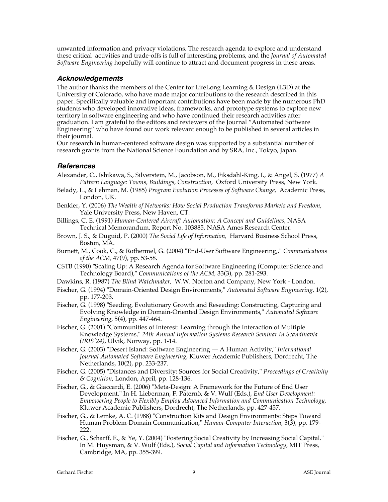unwanted information and privacy violations. The research agenda to explore and understand these critical activities and trade-offs is full of interesting problems, and the *Journal of Automated Software Engineering* hopefully will continue to attract and document progress in these areas.

### **Acknowledgements**

The author thanks the members of the Center for LifeLong Learning & Design (L3D) at the University of Colorado, who have made major contributions to the research described in this paper. Specifically valuable and important contributions have been made by the numerous PhD students who developed innovative ideas, frameworks, and prototype systems to explore new territory in software engineering and who have continued their research activities after graduation. I am grateful to the editors and reviewers of the Journal "Automated Software Engineering" who have found our work relevant enough to be published in several articles in their journal.

Our research in human-centered software design was supported by a substantial number of research grants from the National Science Foundation and by SRA, Inc., Tokyo, Japan.

# **References**

- Alexander, C., Ishikawa, S., Silverstein, M., Jacobson, M., Fiksdahl-King, I., & Angel, S. (1977) *A Pattern Language: Towns, Buildings, Construction,* Oxford University Press, New York.
- Belady, L., & Lehman, M. (1985) *Program Evolution Processes of Software Change,* Academic Press, London, UK.
- Benkler, Y. (2006) *The Wealth of Networks: How Social Production Transforms Markets and Freedom,* Yale University Press, New Haven, CT.
- Billings, C. E. (1991) *Human-Centered Aircraft Automation: A Concept and Guidelines,* NASA Technical Memorandum, Report No. 103885, NASA Ames Research Center.
- Brown, J. S., & Duguid, P. (2000) *The Social Life of Information,* Harvard Business School Press, Boston, MA.
- Burnett, M., Cook, C., & Rothermel, G. (2004) "End-User Software Engineering,," *Communications of the ACM,* 47(9), pp. 53-58.
- CSTB (1990) "Scaling Up: A Research Agenda for Software Engineering (Computer Science and Technology Board)," *Communications of the ACM,* 33(3), pp. 281-293.
- Dawkins, R. (1987) *The Blind Watchmaker,* W.W. Norton and Company, New York London.
- Fischer, G. (1994) "Domain-Oriented Design Environments," *Automated Software Engineering,* 1(2), pp. 177-203.
- Fischer, G. (1998) "Seeding, Evolutionary Growth and Reseeding: Constructing, Capturing and Evolving Knowledge in Domain-Oriented Design Environments," *Automated Software Engineering,* 5(4), pp. 447-464.
- Fischer, G. (2001) "Communities of Interest: Learning through the Interaction of Multiple Knowledge Systems," *24th Annual Information Systems Research Seminar In Scandinavia (IRIS'24)*, Ulvik, Norway, pp. 1-14.
- Fischer, G. (2003) "Desert Island: Software Engineering A Human Activity," *International Journal Automated Software Engineering,* Kluwer Academic Publishers, Dordrecht, The Netherlands, 10(2), pp. 233-237.
- Fischer, G. (2005) "Distances and Diversity: Sources for Social Creativity," *Proceedings of Creativity & Cognition*, London, April, pp. 128-136.
- Fischer, G., & Giaccardi, E. (2006) "Meta-Design: A Framework for the Future of End User Development." In H. Lieberman, F. Paternò, & V. Wulf (Eds.), *End User Development: Empowering People to Flexibly Employ Advanced Information and Communication Technology,* Kluwer Academic Publishers, Dordrecht, The Netherlands, pp. 427-457.
- Fischer, G., & Lemke, A. C. (1988) "Construction Kits and Design Environments: Steps Toward Human Problem-Domain Communication," *Human-Computer Interaction,* 3(3), pp. 179- 222.
- Fischer, G., Scharff, E., & Ye, Y. (2004) "Fostering Social Creativity by Increasing Social Capital." In M. Huysman, & V. Wulf (Eds.), *Social Capital and Information Technology,* MIT Press, Cambridge, MA, pp. 355-399.